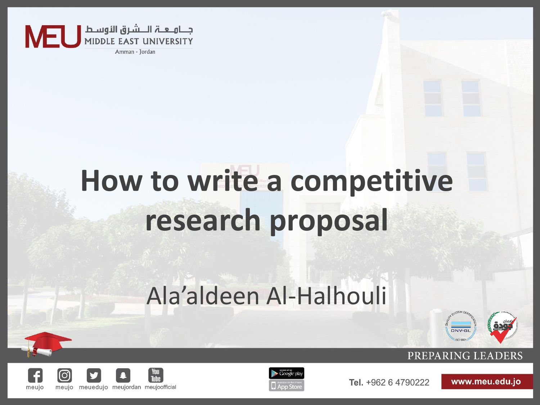

# **How to write a competitive research proposal**

## Ala'aldeen Al-Halhouli









Tel. +962 6 4790222

www.meu.edu.jo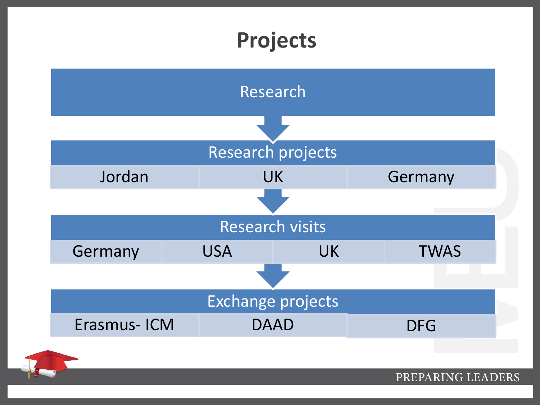### **Projects**



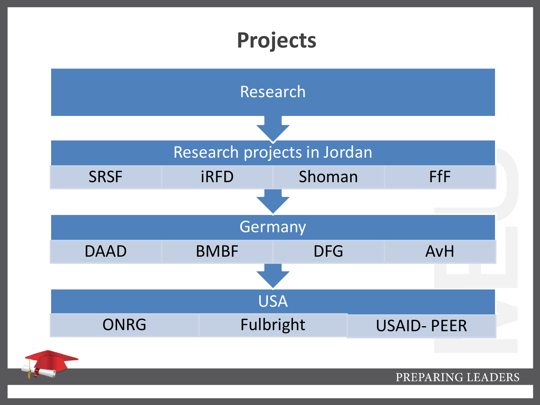# **Projects**

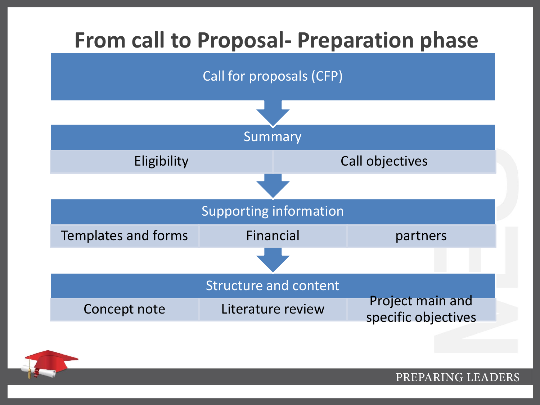

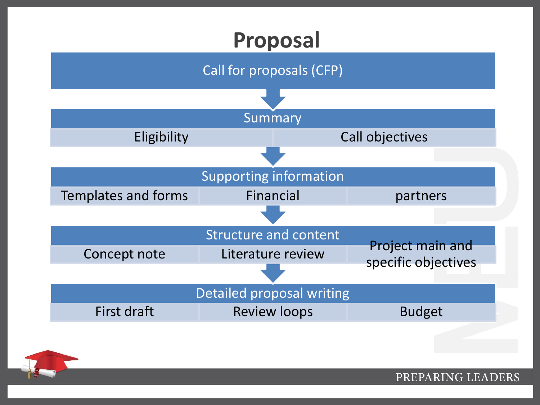#### **Proposal**



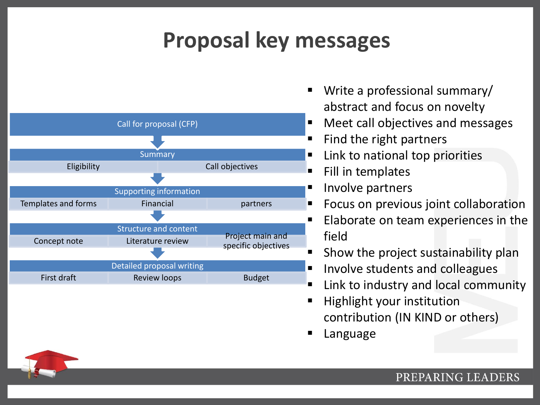### **Proposal key messages**



- Write a professional summary/ abstract and focus on novelty
- **Meet call objectives and messages**
- Find the right partners
- Link to national top priorities
- Fill in templates
- Involve partners
- **Figure 1** Focus on previous joint collaboration
- Elaborate on team experiences in the field
- Show the project sustainability plan
- Involve students and colleagues
- Link to industry and local community
- Highlight your institution contribution (IN KIND or others)
- Language